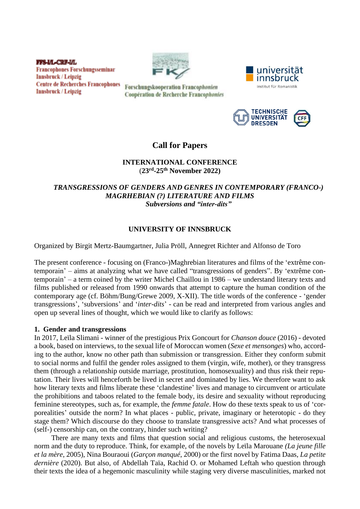**FFS-I/L-CRF-I/L Francophones Forschungsseminar Innsbruck / Leipzig Centre de Recherches Francophones Innsbruck / Leipzig** 



Forschungskooperation Francophonien Coopération de Recherche Francophonies





# **Call for Papers**

### **INTERNATIONAL CONFERENCE** (**23rd -25th November 2022)**

## *TRANSGRESSIONS OF GENDERS AND GENRES IN CONTEMPORARY (FRANCO-) MAGRHEBIAN (?) LITERATURE AND FILMS Subversions and "inter-dits"*

# **UNIVERSITY OF INNSBRUCK**

Organized by Birgit Mertz-Baumgartner, Julia Pröll, Annegret Richter and Alfonso de Toro

The present conference - focusing on (Franco-)Maghrebian literatures and films of the 'extrême contemporain' – aims at analyzing what we have called "transgressions of genders". By 'extrême contemporain' – a term coined by the writer Michel Chaillou in 1986 – we understand literary texts and films published or released from 1990 onwards that attempt to capture the human condition of the contemporary age (cf. Böhm/Bung/Grewe 2009, X-XII). The title words of the conference - 'gender transgressions', 'subversions' and '*inter-dits*' - can be read and interpreted from various angles and open up several lines of thought, which we would like to clarify as follows:

### **1. Gender and transgressions**

In 2017, Leïla Slimani - winner of the prestigious Prix Goncourt for *Chanson douce* (2016) - devoted a book, based on interviews, to the sexual life of Moroccan women (*Sexe et mensonges*) who, according to the author, know no other path than submission or transgression. Either they conform submit to social norms and fulfil the gender roles assigned to them (virgin, wife, mother), or they transgress them (through a relationship outside marriage, prostitution, homosexuality) and thus risk their reputation. Their lives will henceforth be lived in secret and dominated by lies. We therefore want to ask how literary texts and films liberate these 'clandestine' lives and manage to circumvent or articulate the prohibitions and taboos related to the female body, its desire and sexuality without reproducing feminine stereotypes, such as, for example, the *femme fatale*. How do these texts speak to us of 'corporealities' outside the norm? In what places - public, private, imaginary or heterotopic - do they stage them? Which discourse do they choose to translate transgressive acts? And what processes of (self-) censorship can, on the contrary, hinder such writing?

There are many texts and films that question social and religious customs, the heterosexual norm and the duty to reproduce. Think, for example, of the novels by Leïla Marouane *(La jeune fille et la mère*, 2005), Nina Bouraoui (*Garçon manqué*, 2000) or the first novel by Fatima Daas, *La petite dernière* (2020). But also, of Abdellah Taïa, Rachid O. or Mohamed Leftah who question through their texts the idea of a hegemonic masculinity while staging very diverse masculinities, marked not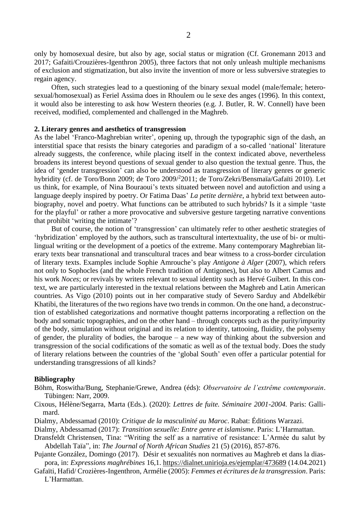only by homosexual desire, but also by age, social status or migration (Cf. Gronemann 2013 and 2017; Gafaiti/Crouzières-Igenthron 2005), three factors that not only unleash multiple mechanisms of exclusion and stigmatization, but also invite the invention of more or less subversive strategies to regain agency.

Often, such strategies lead to a questioning of the binary sexual model (male/female; heterosexual/homosexual) as Feriel Assima does in Rhoulem ou le sexe des anges (1996). In this context, it would also be interesting to ask how Western theories (e.g. J. Butler, R. W. Connell) have been received, modified, complemented and challenged in the Maghreb.

#### **2. Literary genres and aesthetics of transgression**

As the label 'Franco-Maghrebian writer', opening up, through the typographic sign of the dash, an interstitial space that resists the binary categories and paradigm of a so-called 'national' literature already suggests, the conference, while placing itself in the context indicated above, nevertheless broadens its interest beyond questions of sexual gender to also question the textual genre. Thus, the idea of 'gender transgression' can also be understood as transgression of literary genres or generic hybridity (cf. de Toro/Bonn 2009; de Toro 2009/<sup>2</sup> 2011; de Toro/Zekri/Bensmaïa/Gafaïti 2010). Let us think, for example, of Nina Bouraoui's texts situated between novel and autofiction and using a language deeply inspired by poetry. Or Fatima Daas' *La petite dernière*, a hybrid text between autobiography, novel and poetry. What functions can be attributed to such hybrids? Is it a simple 'taste for the playful' or rather a more provocative and subversive gesture targeting narrative conventions that prohibit 'writing the intimate'?

But of course, the notion of 'transgression' can ultimately refer to other aesthetic strategies of 'hybridization' employed by the authors, such as transcultural intertextuality, the use of bi- or multilingual writing or the development of a poetics of the extreme. Many contemporary Maghrebian literary texts bear transnational and transcultural traces and bear witness to a cross-border circulation of literary texts. Examples include Sophie Amrouche's play *Antigone à Alger* (2007), which refers not only to Sophocles (and the whole French tradition of Antigones), but also to Albert Camus and his work *Noces*; or revivals by writers relevant to sexual identity such as Hervé Guibert. In this context, we are particularly interested in the textual relations between the Maghreb and Latin American countries. As Vigo (2010) points out in her comparative study of Severo Sarduy and Abdelkébir Khatibi, the literatures of the two regions have two trends in common. On the one hand, a deconstruction of established categorizations and normative thought patterns incorporating a reflection on the body and somatic topographies, and on the other hand – through concepts such as the purity/impurity of the body, simulation without original and its relation to identity, tattooing, fluidity, the polysemy of gender, the plurality of bodies, the baroque – a new way of thinking about the subversion and transgression of the social codifications of the somatic as well as of the textual body. Does the study of literary relations between the countries of the 'global South' even offer a particular potential for understanding transgressions of all kinds?

#### **Bibliography**

- Böhm, Roswitha/Bung, Stephanie/Grewe, Andrea (éds): *Observatoire de l'extrême contemporain*. Tübingen: Narr, 2009.
- Cixous, Hélène/Segarra, Marta (Eds.). (2020): *Lettres de fuite. Séminaire 2001-2004.* Paris: Gallimard.
- Dialmy, Abdessamad (2010): *Critique de la masculinité au Maroc*. Rabat: Éditions Warzazi.
- Dialmy, Abdessamad (2017): *Transition sexuelle: Entre genre et islamisme*. Paris: L'Harmattan.
- Dransfeldt Christensen, Tina: "Writing the self as a narrative of resistance: L'Armée du salut by Abdellah Taïa", in: *The Journal of North African Studies* 21 (5) (2016), 857-876.
- Pujante González, Domingo (2017). Désir et sexualités non normatives au Maghreb et dans la diaspora, in: *Expressions maghrébines* 16,1. <https://dialnet.unirioja.es/ejemplar/473689> (14.04.2021)
- Gafaïti, Hafid/ Crozières-Ingenthron, Armélie (2005): *Femmes et écritures de la transgression*. Paris: L'Harmattan.